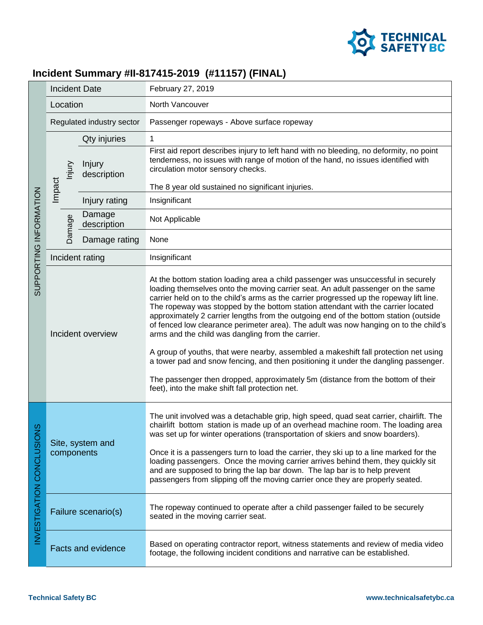

## **Incident Summary #II-817415-2019 (#11157) (FINAL)**

| SUPPORTING INFORMATION                   | <b>Incident Date</b>            |  | February 27, 2019                                                                                                                                                                                                                                                                                                                                                                                                                                                                                                                                                                                                                                                                                                                                                                                                                                                                                             |
|------------------------------------------|---------------------------------|--|---------------------------------------------------------------------------------------------------------------------------------------------------------------------------------------------------------------------------------------------------------------------------------------------------------------------------------------------------------------------------------------------------------------------------------------------------------------------------------------------------------------------------------------------------------------------------------------------------------------------------------------------------------------------------------------------------------------------------------------------------------------------------------------------------------------------------------------------------------------------------------------------------------------|
|                                          | Location                        |  | North Vancouver                                                                                                                                                                                                                                                                                                                                                                                                                                                                                                                                                                                                                                                                                                                                                                                                                                                                                               |
|                                          | Regulated industry sector       |  | Passenger ropeways - Above surface ropeway                                                                                                                                                                                                                                                                                                                                                                                                                                                                                                                                                                                                                                                                                                                                                                                                                                                                    |
|                                          | Qty injuries                    |  | 1                                                                                                                                                                                                                                                                                                                                                                                                                                                                                                                                                                                                                                                                                                                                                                                                                                                                                                             |
|                                          | Injury<br>lnjury<br>description |  | First aid report describes injury to left hand with no bleeding, no deformity, no point<br>tenderness, no issues with range of motion of the hand, no issues identified with<br>circulation motor sensory checks.                                                                                                                                                                                                                                                                                                                                                                                                                                                                                                                                                                                                                                                                                             |
|                                          | Impact                          |  | The 8 year old sustained no significant injuries.                                                                                                                                                                                                                                                                                                                                                                                                                                                                                                                                                                                                                                                                                                                                                                                                                                                             |
|                                          | Injury rating                   |  | Insignificant                                                                                                                                                                                                                                                                                                                                                                                                                                                                                                                                                                                                                                                                                                                                                                                                                                                                                                 |
|                                          | Damage<br>Damage<br>description |  | Not Applicable                                                                                                                                                                                                                                                                                                                                                                                                                                                                                                                                                                                                                                                                                                                                                                                                                                                                                                |
|                                          | Damage rating                   |  | None                                                                                                                                                                                                                                                                                                                                                                                                                                                                                                                                                                                                                                                                                                                                                                                                                                                                                                          |
|                                          | Incident rating                 |  | Insignificant                                                                                                                                                                                                                                                                                                                                                                                                                                                                                                                                                                                                                                                                                                                                                                                                                                                                                                 |
|                                          | Incident overview               |  | At the bottom station loading area a child passenger was unsuccessful in securely<br>loading themselves onto the moving carrier seat. An adult passenger on the same<br>carrier held on to the child's arms as the carrier progressed up the ropeway lift line.<br>The ropeway was stopped by the bottom station attendant with the carrier located<br>approximately 2 carrier lengths from the outgoing end of the bottom station (outside<br>of fenced low clearance perimeter area). The adult was now hanging on to the child's<br>arms and the child was dangling from the carrier.<br>A group of youths, that were nearby, assembled a makeshift fall protection net using<br>a tower pad and snow fencing, and then positioning it under the dangling passenger.<br>The passenger then dropped, approximately 5m (distance from the bottom of their<br>feet), into the make shift fall protection net. |
| $\frac{8}{2}$<br>INVESTIGATION CONCLUSIO | Site, system and<br>components  |  | The unit involved was a detachable grip, high speed, quad seat carrier, chairlift. The<br>chairlift bottom station is made up of an overhead machine room. The loading area<br>was set up for winter operations (transportation of skiers and snow boarders).<br>Once it is a passengers turn to load the carrier, they ski up to a line marked for the<br>loading passengers. Once the moving carrier arrives behind them, they quickly sit<br>and are supposed to bring the lap bar down. The lap bar is to help prevent<br>passengers from slipping off the moving carrier once they are properly seated.                                                                                                                                                                                                                                                                                                  |
|                                          | Failure scenario(s)             |  | The ropeway continued to operate after a child passenger failed to be securely<br>seated in the moving carrier seat.                                                                                                                                                                                                                                                                                                                                                                                                                                                                                                                                                                                                                                                                                                                                                                                          |
|                                          | <b>Facts and evidence</b>       |  | Based on operating contractor report, witness statements and review of media video<br>footage, the following incident conditions and narrative can be established.                                                                                                                                                                                                                                                                                                                                                                                                                                                                                                                                                                                                                                                                                                                                            |